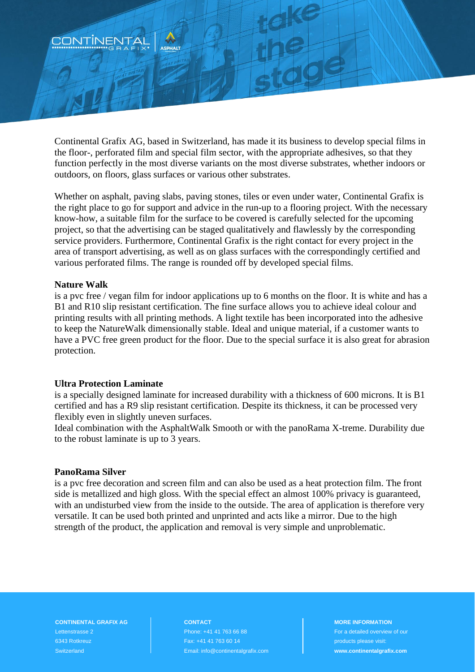

Continental Grafix AG, based in Switzerland, has made it its business to develop special films in the floor-, perforated film and special film sector, with the appropriate adhesives, so that they function perfectly in the most diverse variants on the most diverse substrates, whether indoors or outdoors, on floors, glass surfaces or various other substrates.

Whether on asphalt, paving slabs, paving stones, tiles or even under water, Continental Grafix is the right place to go for support and advice in the run-up to a flooring project. With the necessary know-how, a suitable film for the surface to be covered is carefully selected for the upcoming project, so that the advertising can be staged qualitatively and flawlessly by the corresponding service providers. Furthermore, Continental Grafix is the right contact for every project in the area of transport advertising, as well as on glass surfaces with the correspondingly certified and various perforated films. The range is rounded off by developed special films.

## **Nature Walk**

is a pvc free / vegan film for indoor applications up to 6 months on the floor. It is white and has a B1 and R10 slip resistant certification. The fine surface allows you to achieve ideal colour and printing results with all printing methods. A light textile has been incorporated into the adhesive to keep the NatureWalk dimensionally stable. Ideal and unique material, if a customer wants to have a PVC free green product for the floor. Due to the special surface it is also great for abrasion protection.

# **Ultra Protection Laminate**

is a specially designed laminate for increased durability with a thickness of 600 microns. It is B1 certified and has a R9 slip resistant certification. Despite its thickness, it can be processed very flexibly even in slightly uneven surfaces.

Ideal combination with the AsphaltWalk Smooth or with the panoRama X-treme. Durability due to the robust laminate is up to 3 years.

### **PanoRama Silver**

is a pvc free decoration and screen film and can also be used as a heat protection film. The front side is metallized and high gloss. With the special effect an almost 100% privacy is guaranteed, with an undisturbed view from the inside to the outside. The area of application is therefore very versatile. It can be used both printed and unprinted and acts like a mirror. Due to the high strength of the product, the application and removal is very simple and unproblematic.

**CONTINENTAL GRAFIX AG** Lettenstrasse 2 6343 Rotkreuz **Switzerland** 

**CONTACT** Phone: +41 41 763 66 88 Fax: +41 41 763 60 14 Email: info@continentalgrafix.com

#### **MORE INFORMATION**

For a detailed overview of our products please visit: **www.continentalgrafix.com**